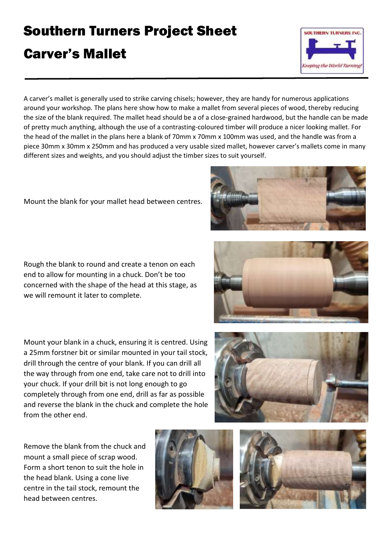## Southern Turners Project Sheet

## Carver's Mallet



A carver's mallet is generally used to strike carving chisels; however, they are handy for numerous applications around your workshop. The plans here show how to make a mallet from several pieces of wood, thereby reducing the size of the blank required. The mallet head should be a of a close-grained hardwood, but the handle can be made of pretty much anything, although the use of a contrasting-coloured timber will produce a nicer looking mallet. For the head of the mallet in the plans here a blank of 70mm x 70mm x 100mm was used, and the handle was from a piece 30mm x 30mm x 250mm and has produced a very usable sized mallet, however carver's mallets come in many different sizes and weights, and you should adjust the timber sizes to suit yourself.

Mount the blank for your mallet head between centres.

Rough the blank to round and create a tenon on each end to allow for mounting in a chuck. Don't be too concerned with the shape of the head at this stage, as we will remount it later to complete.

Mount your blank in a chuck, ensuring it is centred. Using a 25mm forstner bit or similar mounted in your tail stock, drill through the centre of your blank. If you can drill all the way through from one end, take care not to drill into your chuck. If your drill bit is not long enough to go completely through from one end, drill as far as possible and reverse the blank in the chuck and complete the hole from the other end.

Remove the blank from the chuck and mount a small piece of scrap wood. Form a short tenon to suit the hole in the head blank. Using a cone live centre in the tail stock, remount the head between centres.









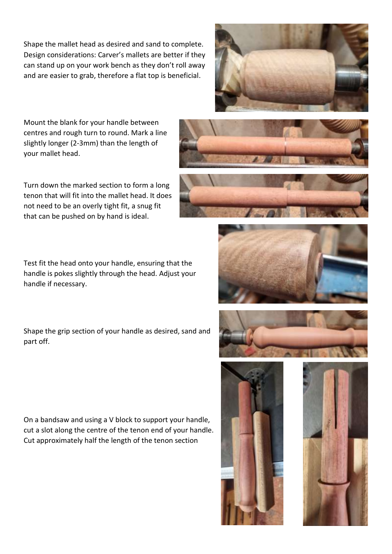Shape the mallet head as desired and sand to complete. Design considerations: Carver's mallets are better if they can stand up on your work bench as they don't roll away and are easier to grab, therefore a flat top is beneficial.



Mount the blank for your handle between centres and rough turn to round. Mark a line slightly longer (2-3mm) than the length of your mallet head.

Turn down the marked section to form a long tenon that will fit into the mallet head. It does not need to be an overly tight fit, a snug fit that can be pushed on by hand is ideal.

Test fit the head onto your handle, ensuring that the handle is pokes slightly through the head. Adjust your handle if necessary.

Shape the grip section of your handle as desired, sand and part off.

On a bandsaw and using a V block to support your handle, cut a slot along the centre of the tenon end of your handle. Cut approximately half the length of the tenon section